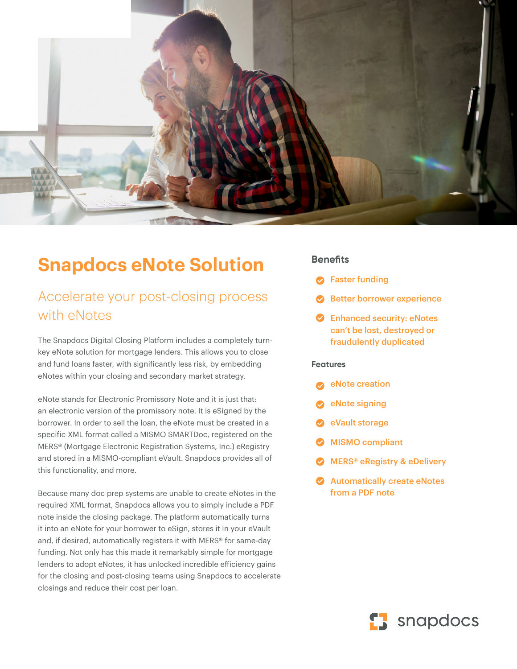

# **Snapdocs eNote Solution**

## Accelerate your post-closing process with eNotes

The Snapdocs Digital Closing Platform includes a completely turnkey eNote solution for mortgage lenders. This allows you to close and fund loans faster, with significantly less risk, by embedding eNotes within your closing and secondary market strategy.

eNote stands for Electronic Promissory Note and it is just that: an electronic version of the promissory note. It is eSigned by the borrower. In order to sell the loan, the eNote must be created in a specific XML format called a MISMO SMARTDoc, registered on the MERS® (Mortgage Electronic Registration Systems, Inc.) eRegistry and stored in a MISMO-compliant eVault. Snapdocs provides all of this functionality, and more.

Because many doc prep systems are unable to create eNotes in the required XML format, Snapdocs allows you to simply include a PDF note inside the closing package. The platform automatically turns it into an eNote for your borrower to eSign, stores it in your eVault and, if desired, automatically registers it with MERS® for same-day funding. Not only has this made it remarkably simple for mortgage lenders to adopt eNotes, it has unlocked incredible efficiency gains for the closing and post-closing teams using Snapdocs to accelerate closings and reduce their cost per loan.

#### **Benefits**

- **B** Faster funding
- Better borrower experience
- **Enhanced security: eNotes** can't be lost, destroyed or fraudulently duplicated

#### **Features**

- eNote creation
- eNote signing
- eVault storage
- MISMO compliant
- MERS® eRegistry & eDelivery
- Automatically create eNotes from a PDF note